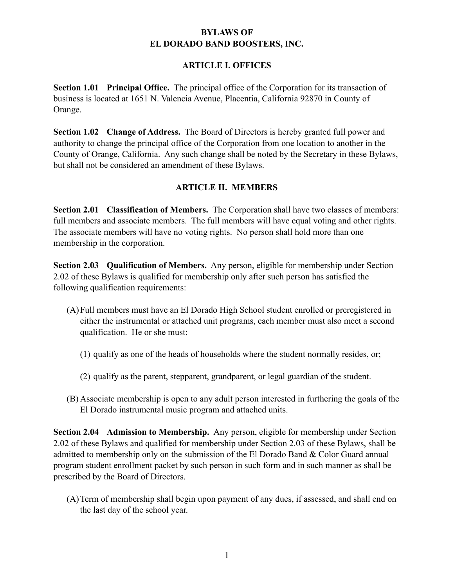## **ARTICLE I. OFFICES**

**Section 1.01 Principal Office.** The principal office of the Corporation for its transaction of business is located at 1651 N. Valencia Avenue, Placentia, California 92870 in County of Orange.

**Section 1.02 Change of Address.** The Board of Directors is hereby granted full power and authority to change the principal office of the Corporation from one location to another in the County of Orange, California. Any such change shall be noted by the Secretary in these Bylaws, but shall not be considered an amendment of these Bylaws.

### **ARTICLE II. MEMBERS**

**Section 2.01 Classification of Members.** The Corporation shall have two classes of members: full members and associate members. The full members will have equal voting and other rights. The associate members will have no voting rights. No person shall hold more than one membership in the corporation.

**Section 2.03 Qualification of Members.** Any person, eligible for membership under Section 2.02 of these Bylaws is qualified for membership only after such person has satisfied the following qualification requirements:

- (A)Full members must have an El Dorado High School student enrolled or preregistered in either the instrumental or attached unit programs, each member must also meet a second qualification. He or she must:
	- (1) qualify as one of the heads of households where the student normally resides, or;
	- (2) qualify as the parent, stepparent, grandparent, or legal guardian of the student.
- (B) Associate membership is open to any adult person interested in furthering the goals of the El Dorado instrumental music program and attached units.

**Section 2.04 Admission to Membership.** Any person, eligible for membership under Section 2.02 of these Bylaws and qualified for membership under Section 2.03 of these Bylaws, shall be admitted to membership only on the submission of the El Dorado Band & Color Guard annual program student enrollment packet by such person in such form and in such manner as shall be prescribed by the Board of Directors.

(A)Term of membership shall begin upon payment of any dues, if assessed, and shall end on the last day of the school year.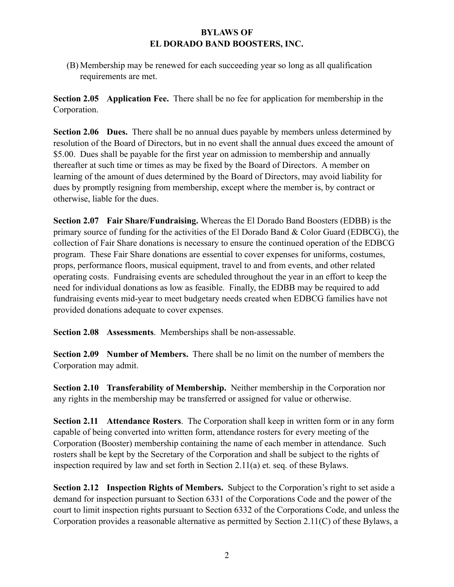(B) Membership may be renewed for each succeeding year so long as all qualification requirements are met.

**Section 2.05 Application Fee.** There shall be no fee for application for membership in the Corporation.

**Section 2.06 Dues.** There shall be no annual dues payable by members unless determined by resolution of the Board of Directors, but in no event shall the annual dues exceed the amount of \$5.00. Dues shall be payable for the first year on admission to membership and annually thereafter at such time or times as may be fixed by the Board of Directors. A member on learning of the amount of dues determined by the Board of Directors, may avoid liability for dues by promptly resigning from membership, except where the member is, by contract or otherwise, liable for the dues.

**Section 2.07 Fair Share/Fundraising.** Whereas the El Dorado Band Boosters (EDBB) is the primary source of funding for the activities of the El Dorado Band & Color Guard (EDBCG), the collection of Fair Share donations is necessary to ensure the continued operation of the EDBCG program. These Fair Share donations are essential to cover expenses for uniforms, costumes, props, performance floors, musical equipment, travel to and from events, and other related operating costs. Fundraising events are scheduled throughout the year in an effort to keep the need for individual donations as low as feasible. Finally, the EDBB may be required to add fundraising events mid-year to meet budgetary needs created when EDBCG families have not provided donations adequate to cover expenses.

**Section 2.08 Assessments**. Memberships shall be non-assessable.

**Section 2.09 Number of Members.** There shall be no limit on the number of members the Corporation may admit.

**Section 2.10 Transferability of Membership.** Neither membership in the Corporation nor any rights in the membership may be transferred or assigned for value or otherwise.

**Section 2.11 Attendance Rosters**. The Corporation shall keep in written form or in any form capable of being converted into written form, attendance rosters for every meeting of the Corporation (Booster) membership containing the name of each member in attendance. Such rosters shall be kept by the Secretary of the Corporation and shall be subject to the rights of inspection required by law and set forth in Section 2.11(a) et. seq. of these Bylaws.

**Section 2.12 Inspection Rights of Members.** Subject to the Corporation's right to set aside a demand for inspection pursuant to Section 6331 of the Corporations Code and the power of the court to limit inspection rights pursuant to Section 6332 of the Corporations Code, and unless the Corporation provides a reasonable alternative as permitted by Section 2.11(C) of these Bylaws, a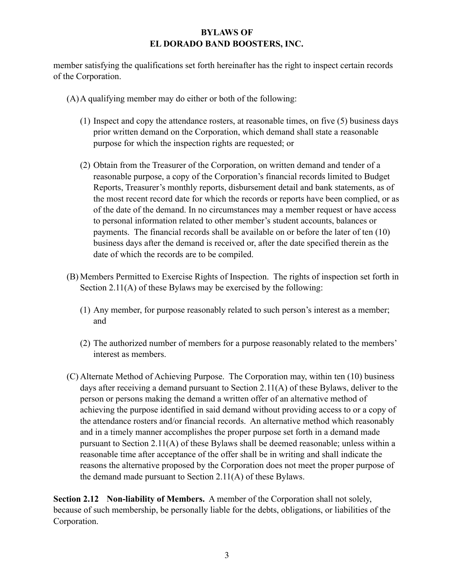member satisfying the qualifications set forth hereinafter has the right to inspect certain records of the Corporation.

(A)A qualifying member may do either or both of the following:

- (1) Inspect and copy the attendance rosters, at reasonable times, on five (5) business days prior written demand on the Corporation, which demand shall state a reasonable purpose for which the inspection rights are requested; or
- (2) Obtain from the Treasurer of the Corporation, on written demand and tender of a reasonable purpose, a copy of the Corporation's financial records limited to Budget Reports, Treasurer's monthly reports, disbursement detail and bank statements, as of the most recent record date for which the records or reports have been complied, or as of the date of the demand. In no circumstances may a member request or have access to personal information related to other member's student accounts, balances or payments. The financial records shall be available on or before the later of ten (10) business days after the demand is received or, after the date specified therein as the date of which the records are to be compiled.
- (B) Members Permitted to Exercise Rights of Inspection. The rights of inspection set forth in Section 2.11(A) of these Bylaws may be exercised by the following:
	- (1) Any member, for purpose reasonably related to such person's interest as a member; and
	- (2) The authorized number of members for a purpose reasonably related to the members' interest as members.
- (C) Alternate Method of Achieving Purpose. The Corporation may, within ten (10) business days after receiving a demand pursuant to Section 2.11(A) of these Bylaws, deliver to the person or persons making the demand a written offer of an alternative method of achieving the purpose identified in said demand without providing access to or a copy of the attendance rosters and/or financial records. An alternative method which reasonably and in a timely manner accomplishes the proper purpose set forth in a demand made pursuant to Section 2.11(A) of these Bylaws shall be deemed reasonable; unless within a reasonable time after acceptance of the offer shall be in writing and shall indicate the reasons the alternative proposed by the Corporation does not meet the proper purpose of the demand made pursuant to Section 2.11(A) of these Bylaws.

**Section 2.12 Non-liability of Members.** A member of the Corporation shall not solely, because of such membership, be personally liable for the debts, obligations, or liabilities of the Corporation.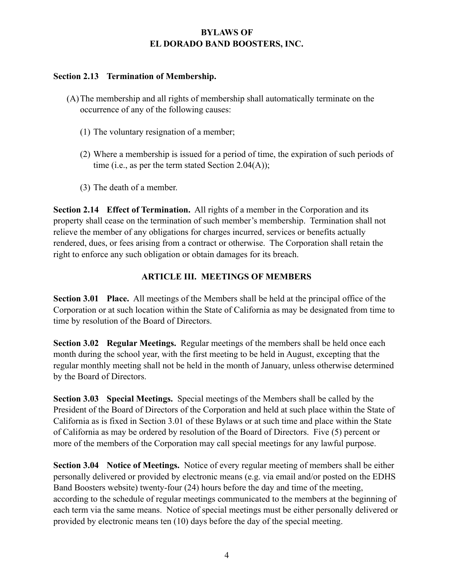#### **Section 2.13 Termination of Membership.**

- (A)The membership and all rights of membership shall automatically terminate on the occurrence of any of the following causes:
	- (1) The voluntary resignation of a member;
	- (2) Where a membership is issued for a period of time, the expiration of such periods of time (i.e., as per the term stated Section 2.04(A));
	- (3) The death of a member.

**Section 2.14 Effect of Termination.** All rights of a member in the Corporation and its property shall cease on the termination of such member's membership. Termination shall not relieve the member of any obligations for charges incurred, services or benefits actually rendered, dues, or fees arising from a contract or otherwise. The Corporation shall retain the right to enforce any such obligation or obtain damages for its breach.

## **ARTICLE III. MEETINGS OF MEMBERS**

**Section 3.01 Place.** All meetings of the Members shall be held at the principal office of the Corporation or at such location within the State of California as may be designated from time to time by resolution of the Board of Directors.

**Section 3.02 Regular Meetings.** Regular meetings of the members shall be held once each month during the school year, with the first meeting to be held in August, excepting that the regular monthly meeting shall not be held in the month of January, unless otherwise determined by the Board of Directors.

**Section 3.03 Special Meetings.** Special meetings of the Members shall be called by the President of the Board of Directors of the Corporation and held at such place within the State of California as is fixed in Section 3.01 of these Bylaws or at such time and place within the State of California as may be ordered by resolution of the Board of Directors. Five (5) percent or more of the members of the Corporation may call special meetings for any lawful purpose.

**Section 3.04 Notice of Meetings.** Notice of every regular meeting of members shall be either personally delivered or provided by electronic means (e.g. via email and/or posted on the EDHS Band Boosters website) twenty-four (24) hours before the day and time of the meeting, according to the schedule of regular meetings communicated to the members at the beginning of each term via the same means. Notice of special meetings must be either personally delivered or provided by electronic means ten (10) days before the day of the special meeting.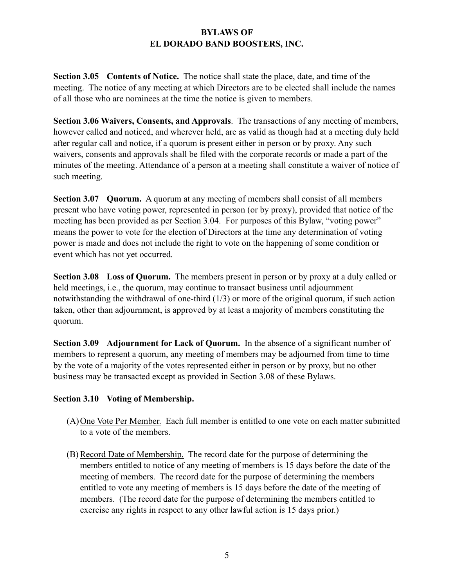**Section 3.05 Contents of Notice.** The notice shall state the place, date, and time of the meeting. The notice of any meeting at which Directors are to be elected shall include the names of all those who are nominees at the time the notice is given to members.

**Section 3.06 Waivers, Consents, and Approvals**. The transactions of any meeting of members, however called and noticed, and wherever held, are as valid as though had at a meeting duly held after regular call and notice, if a quorum is present either in person or by proxy. Any such waivers, consents and approvals shall be filed with the corporate records or made a part of the minutes of the meeting. Attendance of a person at a meeting shall constitute a waiver of notice of such meeting.

**Section 3.07 Quorum.** A quorum at any meeting of members shall consist of all members present who have voting power, represented in person (or by proxy), provided that notice of the meeting has been provided as per Section 3.04. For purposes of this Bylaw, "voting power" means the power to vote for the election of Directors at the time any determination of voting power is made and does not include the right to vote on the happening of some condition or event which has not yet occurred.

**Section 3.08 Loss of Quorum.** The members present in person or by proxy at a duly called or held meetings, i.e., the quorum, may continue to transact business until adjournment notwithstanding the withdrawal of one-third (1/3) or more of the original quorum, if such action taken, other than adjournment, is approved by at least a majority of members constituting the quorum.

**Section 3.09 Adjournment for Lack of Quorum.** In the absence of a significant number of members to represent a quorum, any meeting of members may be adjourned from time to time by the vote of a majority of the votes represented either in person or by proxy, but no other business may be transacted except as provided in Section 3.08 of these Bylaws.

### **Section 3.10 Voting of Membership.**

- (A)One Vote Per Member. Each full member is entitled to one vote on each matter submitted to a vote of the members.
- (B) Record Date of Membership. The record date for the purpose of determining the members entitled to notice of any meeting of members is 15 days before the date of the meeting of members. The record date for the purpose of determining the members entitled to vote any meeting of members is 15 days before the date of the meeting of members. (The record date for the purpose of determining the members entitled to exercise any rights in respect to any other lawful action is 15 days prior.)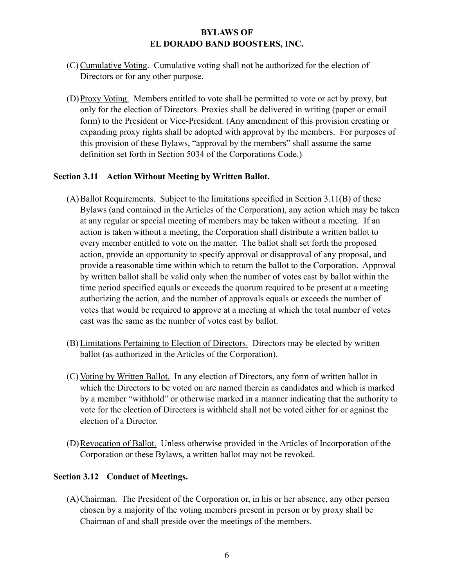- (C) Cumulative Voting. Cumulative voting shall not be authorized for the election of Directors or for any other purpose.
- (D)Proxy Voting. Members entitled to vote shall be permitted to vote or act by proxy, but only for the election of Directors. Proxies shall be delivered in writing (paper or email form) to the President or Vice-President. (Any amendment of this provision creating or expanding proxy rights shall be adopted with approval by the members. For purposes of this provision of these Bylaws, "approval by the members" shall assume the same definition set forth in Section 5034 of the Corporations Code.)

#### **Section 3.11 Action Without Meeting by Written Ballot.**

- $(A)$ Ballot Requirements. Subject to the limitations specified in Section 3.11 $(B)$  of these Bylaws (and contained in the Articles of the Corporation), any action which may be taken at any regular or special meeting of members may be taken without a meeting. If an action is taken without a meeting, the Corporation shall distribute a written ballot to every member entitled to vote on the matter. The ballot shall set forth the proposed action, provide an opportunity to specify approval or disapproval of any proposal, and provide a reasonable time within which to return the ballot to the Corporation. Approval by written ballot shall be valid only when the number of votes cast by ballot within the time period specified equals or exceeds the quorum required to be present at a meeting authorizing the action, and the number of approvals equals or exceeds the number of votes that would be required to approve at a meeting at which the total number of votes cast was the same as the number of votes cast by ballot.
- (B) Limitations Pertaining to Election of Directors. Directors may be elected by written ballot (as authorized in the Articles of the Corporation).
- (C) Voting by Written Ballot. In any election of Directors, any form of written ballot in which the Directors to be voted on are named therein as candidates and which is marked by a member "withhold" or otherwise marked in a manner indicating that the authority to vote for the election of Directors is withheld shall not be voted either for or against the election of a Director.
- (D)Revocation of Ballot. Unless otherwise provided in the Articles of Incorporation of the Corporation or these Bylaws, a written ballot may not be revoked.

### **Section 3.12 Conduct of Meetings.**

(A)Chairman. The President of the Corporation or, in his or her absence, any other person chosen by a majority of the voting members present in person or by proxy shall be Chairman of and shall preside over the meetings of the members.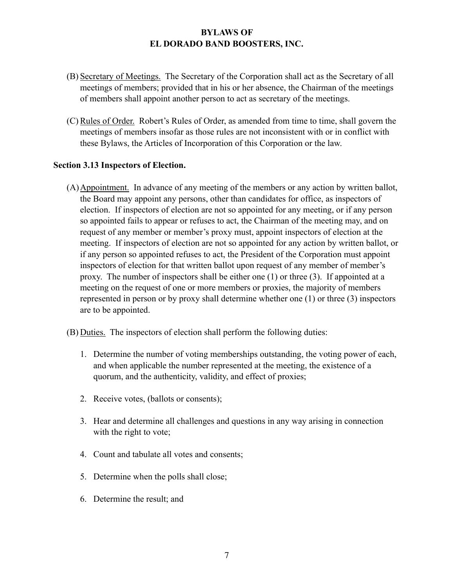- (B) Secretary of Meetings. The Secretary of the Corporation shall act as the Secretary of all meetings of members; provided that in his or her absence, the Chairman of the meetings of members shall appoint another person to act as secretary of the meetings.
- (C) Rules of Order. Robert's Rules of Order, as amended from time to time, shall govern the meetings of members insofar as those rules are not inconsistent with or in conflict with these Bylaws, the Articles of Incorporation of this Corporation or the law.

#### **Section 3.13 Inspectors of Election.**

- (A)Appointment. In advance of any meeting of the members or any action by written ballot, the Board may appoint any persons, other than candidates for office, as inspectors of election. If inspectors of election are not so appointed for any meeting, or if any person so appointed fails to appear or refuses to act, the Chairman of the meeting may, and on request of any member or member's proxy must, appoint inspectors of election at the meeting. If inspectors of election are not so appointed for any action by written ballot, or if any person so appointed refuses to act, the President of the Corporation must appoint inspectors of election for that written ballot upon request of any member of member's proxy. The number of inspectors shall be either one (1) or three (3). If appointed at a meeting on the request of one or more members or proxies, the majority of members represented in person or by proxy shall determine whether one (1) or three (3) inspectors are to be appointed.
- (B) Duties. The inspectors of election shall perform the following duties:
	- 1. Determine the number of voting memberships outstanding, the voting power of each, and when applicable the number represented at the meeting, the existence of a quorum, and the authenticity, validity, and effect of proxies;
	- 2. Receive votes, (ballots or consents);
	- 3. Hear and determine all challenges and questions in any way arising in connection with the right to vote;
	- 4. Count and tabulate all votes and consents;
	- 5. Determine when the polls shall close;
	- 6. Determine the result; and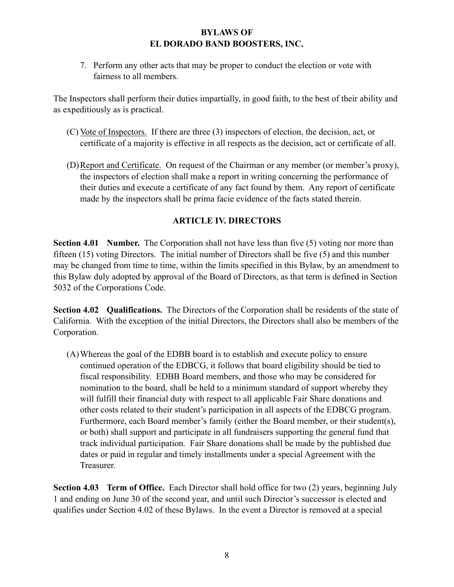7. Perform any other acts that may be proper to conduct the election or vote with fairness to all members.

The Inspectors shall perform their duties impartially, in good faith, to the best of their ability and as expeditiously as is practical.

- (C) Vote of Inspectors. If there are three (3) inspectors of election, the decision, act, or certificate of a majority is effective in all respects as the decision, act or certificate of all.
- (D)Report and Certificate. On request of the Chairman or any member (or member's proxy), the inspectors of election shall make a report in writing concerning the performance of their duties and execute a certificate of any fact found by them. Any report of certificate made by the inspectors shall be prima facie evidence of the facts stated therein.

# **ARTICLE IV. DIRECTORS**

**Section 4.01 Number.** The Corporation shall not have less than five (5) voting nor more than fifteen (15) voting Directors. The initial number of Directors shall be five (5) and this number may be changed from time to time, within the limits specified in this Bylaw, by an amendment to this Bylaw duly adopted by approval of the Board of Directors, as that term is defined in Section 5032 of the Corporations Code.

**Section 4.02 Qualifications.** The Directors of the Corporation shall be residents of the state of California. With the exception of the initial Directors, the Directors shall also be members of the Corporation.

(A)Whereas the goal of the EDBB board is to establish and execute policy to ensure continued operation of the EDBCG, it follows that board eligibility should be tied to fiscal responsibility. EDBB Board members, and those who may be considered for nomination to the board, shall be held to a minimum standard of support whereby they will fulfill their financial duty with respect to all applicable Fair Share donations and other costs related to their student's participation in all aspects of the EDBCG program. Furthermore, each Board member's family (either the Board member, or their student(s), or both) shall support and participate in all fundraisers supporting the general fund that track individual participation. Fair Share donations shall be made by the published due dates or paid in regular and timely installments under a special Agreement with the Treasurer.

**Section 4.03 Term of Office.** Each Director shall hold office for two (2) years, beginning July 1 and ending on June 30 of the second year, and until such Director's successor is elected and qualifies under Section 4.02 of these Bylaws. In the event a Director is removed at a special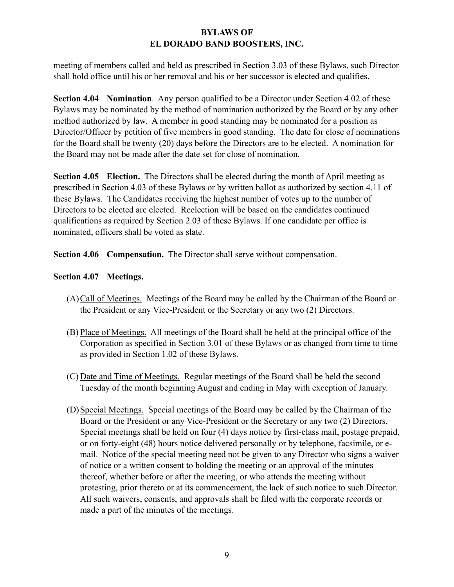meeting of members called and held as prescribed in Section 3.03 of these Bylaws, such Director shall hold office until his or her removal and his or her successor is elected and qualifies.

**Section 4.04 Nomination**. Any person qualified to be a Director under Section 4.02 of these Bylaws may be nominated by the method of nomination authorized by the Board or by any other method authorized by law. A member in good standing may be nominated for a position as Director/Officer by petition of five members in good standing. The date for close of nominations for the Board shall be twenty (20) days before the Directors are to be elected. A nomination for the Board may not be made after the date set for close of nomination.

**Section 4.05 Election.** The Directors shall be elected during the month of April meeting as prescribed in Section 4.03 of these Bylaws or by written ballot as authorized by section 4.11 of these Bylaws. The Candidates receiving the highest number of votes up to the number of Directors to be elected are elected. Reelection will be based on the candidates continued qualifications as required by Section 2.03 of these Bylaws. If one candidate per office is nominated, officers shall be voted as slate.

**Section 4.06 Compensation.** The Director shall serve without compensation.

### **Section 4.07 Meetings.**

- (A)Call of Meetings. Meetings of the Board may be called by the Chairman of the Board or the President or any Vice-President or the Secretary or any two (2) Directors.
- (B) Place of Meetings. All meetings of the Board shall be held at the principal office of the Corporation as specified in Section 3.01 of these Bylaws or as changed from time to time as provided in Section 1.02 of these Bylaws.
- (C) Date and Time of Meetings. Regular meetings of the Board shall be held the second Tuesday of the month beginning August and ending in May with exception of January.
- (D)Special Meetings. Special meetings of the Board may be called by the Chairman of the Board or the President or any Vice-President or the Secretary or any two (2) Directors. Special meetings shall be held on four (4) days notice by first-class mail, postage prepaid, or on forty-eight (48) hours notice delivered personally or by telephone, facsimile, or email. Notice of the special meeting need not be given to any Director who signs a waiver of notice or a written consent to holding the meeting or an approval of the minutes thereof, whether before or after the meeting, or who attends the meeting without protesting, prior thereto or at its commencement, the lack of such notice to such Director. All such waivers, consents, and approvals shall be filed with the corporate records or made a part of the minutes of the meetings.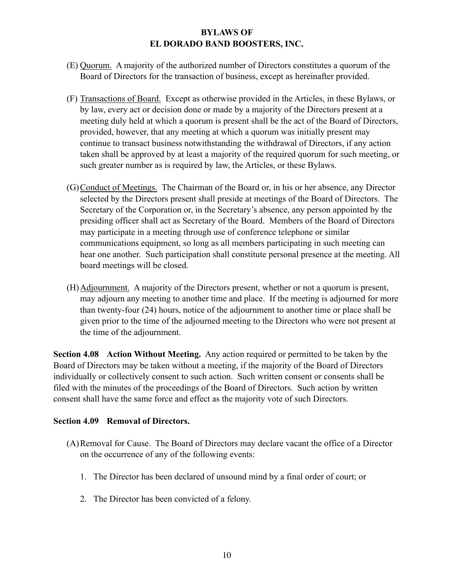- (E) Quorum. A majority of the authorized number of Directors constitutes a quorum of the Board of Directors for the transaction of business, except as hereinafter provided.
- (F) Transactions of Board. Except as otherwise provided in the Articles, in these Bylaws, or by law, every act or decision done or made by a majority of the Directors present at a meeting duly held at which a quorum is present shall be the act of the Board of Directors, provided, however, that any meeting at which a quorum was initially present may continue to transact business notwithstanding the withdrawal of Directors, if any action taken shall be approved by at least a majority of the required quorum for such meeting, or such greater number as is required by law, the Articles, or these Bylaws.
- (G)Conduct of Meetings. The Chairman of the Board or, in his or her absence, any Director selected by the Directors present shall preside at meetings of the Board of Directors. The Secretary of the Corporation or, in the Secretary's absence, any person appointed by the presiding officer shall act as Secretary of the Board. Members of the Board of Directors may participate in a meeting through use of conference telephone or similar communications equipment, so long as all members participating in such meeting can hear one another. Such participation shall constitute personal presence at the meeting. All board meetings will be closed.
- (H)Adjournment. A majority of the Directors present, whether or not a quorum is present, may adjourn any meeting to another time and place. If the meeting is adjourned for more than twenty-four (24) hours, notice of the adjournment to another time or place shall be given prior to the time of the adjourned meeting to the Directors who were not present at the time of the adjournment.

**Section 4.08 Action Without Meeting.** Any action required or permitted to be taken by the Board of Directors may be taken without a meeting, if the majority of the Board of Directors individually or collectively consent to such action. Such written consent or consents shall be filed with the minutes of the proceedings of the Board of Directors. Such action by written consent shall have the same force and effect as the majority vote of such Directors.

### **Section 4.09 Removal of Directors.**

- (A)Removal for Cause. The Board of Directors may declare vacant the office of a Director on the occurrence of any of the following events:
	- 1. The Director has been declared of unsound mind by a final order of court; or
	- 2. The Director has been convicted of a felony.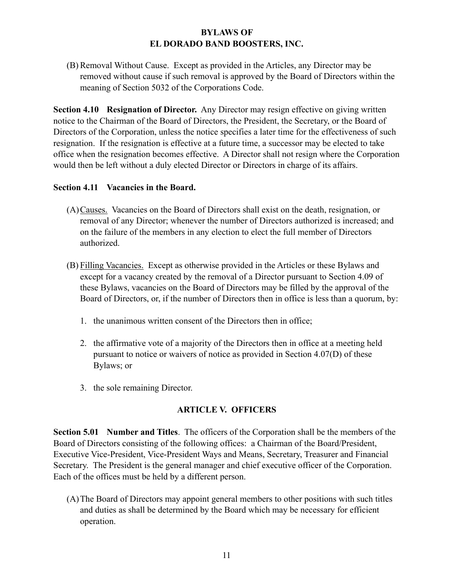(B) Removal Without Cause. Except as provided in the Articles, any Director may be removed without cause if such removal is approved by the Board of Directors within the meaning of Section 5032 of the Corporations Code.

**Section 4.10 Resignation of Director.** Any Director may resign effective on giving written notice to the Chairman of the Board of Directors, the President, the Secretary, or the Board of Directors of the Corporation, unless the notice specifies a later time for the effectiveness of such resignation. If the resignation is effective at a future time, a successor may be elected to take office when the resignation becomes effective. A Director shall not resign where the Corporation would then be left without a duly elected Director or Directors in charge of its affairs.

#### **Section 4.11 Vacancies in the Board.**

- (A)Causes. Vacancies on the Board of Directors shall exist on the death, resignation, or removal of any Director; whenever the number of Directors authorized is increased; and on the failure of the members in any election to elect the full member of Directors authorized.
- (B) Filling Vacancies. Except as otherwise provided in the Articles or these Bylaws and except for a vacancy created by the removal of a Director pursuant to Section 4.09 of these Bylaws, vacancies on the Board of Directors may be filled by the approval of the Board of Directors, or, if the number of Directors then in office is less than a quorum, by:
	- 1. the unanimous written consent of the Directors then in office;
	- 2. the affirmative vote of a majority of the Directors then in office at a meeting held pursuant to notice or waivers of notice as provided in Section 4.07(D) of these Bylaws; or
	- 3. the sole remaining Director.

### **ARTICLE V. OFFICERS**

**Section 5.01 Number and Titles**. The officers of the Corporation shall be the members of the Board of Directors consisting of the following offices: a Chairman of the Board/President, Executive Vice-President, Vice-President Ways and Means, Secretary, Treasurer and Financial Secretary. The President is the general manager and chief executive officer of the Corporation. Each of the offices must be held by a different person.

(A)The Board of Directors may appoint general members to other positions with such titles and duties as shall be determined by the Board which may be necessary for efficient operation.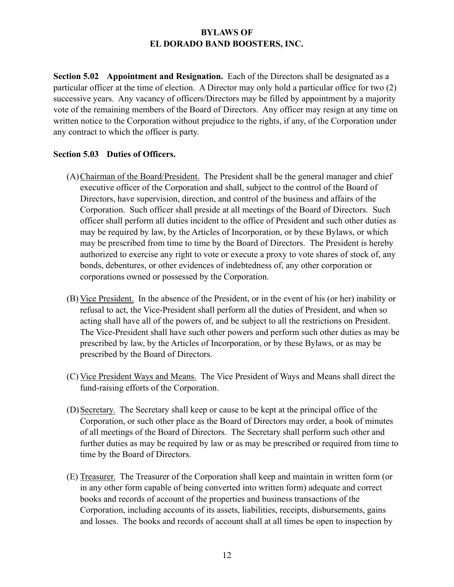**Section 5.02 Appointment and Resignation.** Each of the Directors shall be designated as a particular officer at the time of election. A Director may only hold a particular office for two (2) successive years. Any vacancy of officers/Directors may be filled by appointment by a majority vote of the remaining members of the Board of Directors. Any officer may resign at any time on written notice to the Corporation without prejudice to the rights, if any, of the Corporation under any contract to which the officer is party.

#### **Section 5.03 Duties of Officers.**

- (A)Chairman of the Board/President. The President shall be the general manager and chief executive officer of the Corporation and shall, subject to the control of the Board of Directors, have supervision, direction, and control of the business and affairs of the Corporation. Such officer shall preside at all meetings of the Board of Directors. Such officer shall perform all duties incident to the office of President and such other duties as may be required by law, by the Articles of Incorporation, or by these Bylaws, or which may be prescribed from time to time by the Board of Directors. The President is hereby authorized to exercise any right to vote or execute a proxy to vote shares of stock of, any bonds, debentures, or other evidences of indebtedness of, any other corporation or corporations owned or possessed by the Corporation.
- (B) Vice President. In the absence of the President, or in the event of his (or her) inability or refusal to act, the Vice-President shall perform all the duties of President, and when so acting shall have all of the powers of, and be subject to all the restrictions on President. The Vice-President shall have such other powers and perform such other duties as may be prescribed by law, by the Articles of Incorporation, or by these Bylaws, or as may be prescribed by the Board of Directors.
- (C) Vice President Ways and Means. The Vice President of Ways and Means shall direct the fund-raising efforts of the Corporation.
- (D)Secretary. The Secretary shall keep or cause to be kept at the principal office of the Corporation, or such other place as the Board of Directors may order, a book of minutes of all meetings of the Board of Directors. The Secretary shall perform such other and further duties as may be required by law or as may be prescribed or required from time to time by the Board of Directors.
- (E) Treasurer. The Treasurer of the Corporation shall keep and maintain in written form (or in any other form capable of being converted into written form) adequate and correct books and records of account of the properties and business transactions of the Corporation, including accounts of its assets, liabilities, receipts, disbursements, gains and losses. The books and records of account shall at all times be open to inspection by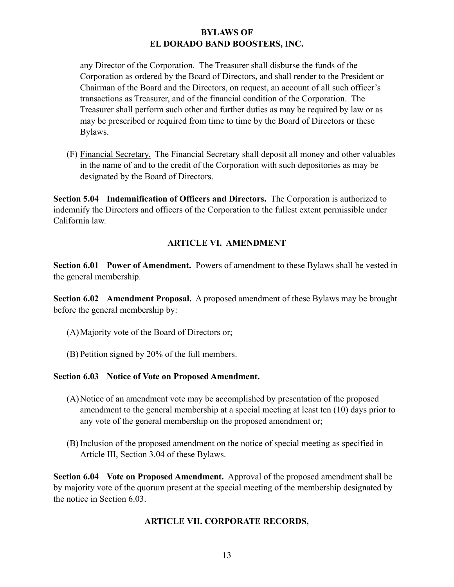any Director of the Corporation. The Treasurer shall disburse the funds of the Corporation as ordered by the Board of Directors, and shall render to the President or Chairman of the Board and the Directors, on request, an account of all such officer's transactions as Treasurer, and of the financial condition of the Corporation. The Treasurer shall perform such other and further duties as may be required by law or as may be prescribed or required from time to time by the Board of Directors or these Bylaws.

(F) Financial Secretary. The Financial Secretary shall deposit all money and other valuables in the name of and to the credit of the Corporation with such depositories as may be designated by the Board of Directors.

**Section 5.04 Indemnification of Officers and Directors.** The Corporation is authorized to indemnify the Directors and officers of the Corporation to the fullest extent permissible under California law.

# **ARTICLE VI. AMENDMENT**

**Section 6.01 Power of Amendment.** Powers of amendment to these Bylaws shall be vested in the general membership.

**Section 6.02 Amendment Proposal.** A proposed amendment of these Bylaws may be brought before the general membership by:

- (A)Majority vote of the Board of Directors or;
- (B) Petition signed by 20% of the full members.

### **Section 6.03 Notice of Vote on Proposed Amendment.**

- (A)Notice of an amendment vote may be accomplished by presentation of the proposed amendment to the general membership at a special meeting at least ten (10) days prior to any vote of the general membership on the proposed amendment or;
- (B) Inclusion of the proposed amendment on the notice of special meeting as specified in Article III, Section 3.04 of these Bylaws.

**Section 6.04 Vote on Proposed Amendment.** Approval of the proposed amendment shall be by majority vote of the quorum present at the special meeting of the membership designated by the notice in Section 6.03.

### **ARTICLE VII. CORPORATE RECORDS,**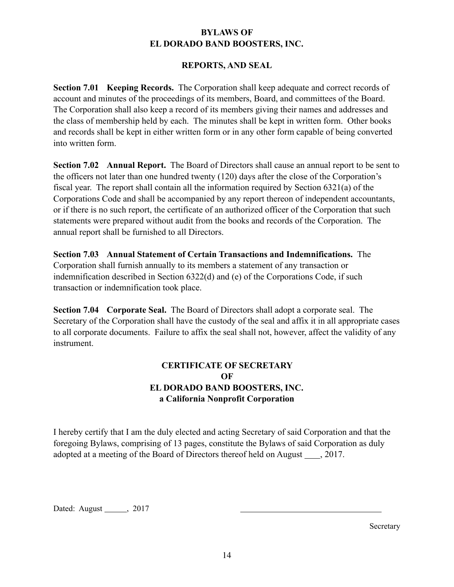### **REPORTS, AND SEAL**

**Section 7.01 Keeping Records.** The Corporation shall keep adequate and correct records of account and minutes of the proceedings of its members, Board, and committees of the Board. The Corporation shall also keep a record of its members giving their names and addresses and the class of membership held by each. The minutes shall be kept in written form. Other books and records shall be kept in either written form or in any other form capable of being converted into written form.

**Section 7.02 Annual Report.** The Board of Directors shall cause an annual report to be sent to the officers not later than one hundred twenty (120) days after the close of the Corporation's fiscal year. The report shall contain all the information required by Section 6321(a) of the Corporations Code and shall be accompanied by any report thereon of independent accountants, or if there is no such report, the certificate of an authorized officer of the Corporation that such statements were prepared without audit from the books and records of the Corporation. The annual report shall be furnished to all Directors.

**Section 7.03 Annual Statement of Certain Transactions and Indemnifications.** The Corporation shall furnish annually to its members a statement of any transaction or indemnification described in Section 6322(d) and (e) of the Corporations Code, if such transaction or indemnification took place.

**Section 7.04 Corporate Seal.** The Board of Directors shall adopt a corporate seal. The Secretary of the Corporation shall have the custody of the seal and affix it in all appropriate cases to all corporate documents. Failure to affix the seal shall not, however, affect the validity of any instrument.

# **CERTIFICATE OF SECRETARY OF EL DORADO BAND BOOSTERS, INC. a California Nonprofit Corporation**

I hereby certify that I am the duly elected and acting Secretary of said Corporation and that the foregoing Bylaws, comprising of 13 pages, constitute the Bylaws of said Corporation as duly adopted at a meeting of the Board of Directors thereof held on August \_\_\_\_, 2017.

Dated: August \_\_\_\_\_\_, 2017

**Secretary**